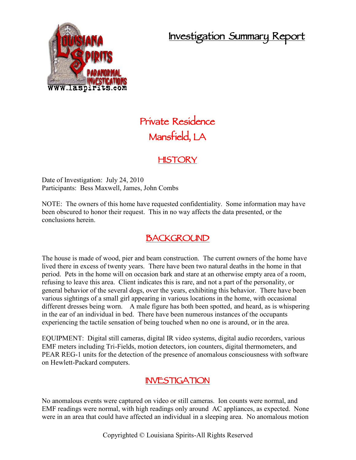## **Investigation Summary Report**



# **Private Residence Mansfield, LA**

### **HISTORY**

Date of Investigation: July 24, 2010 Participants: Bess Maxwell, James, John Combs

NOTE: The owners of this home have requested confidentiality. Some information may have been obscured to honor their request. This in no way affects the data presented, or the conclusions herein.

### **BACKGROUND**

The house is made of wood, pier and beam construction. The current owners of the home have lived there in excess of twenty years. There have been two natural deaths in the home in that period. Pets in the home will on occasion bark and stare at an otherwise empty area of a room, refusing to leave this area. Client indicates this is rare, and not a part of the personality, or general behavior of the several dogs, over the years, exhibiting this behavior. There have been various sightings of a small girl appearing in various locations in the home, with occasional different dresses being worn. A male figure has both been spotted, and heard, as is whispering in the ear of an individual in bed. There have been numerous instances of the occupants experiencing the tactile sensation of being touched when no one is around, or in the area.

EQUIPMENT: Digital still cameras, digital IR video systems, digital audio recorders, various EMF meters including Tri-Fields, motion detectors, ion counters, digital thermometers, and PEAR REG-1 units for the detection of the presence of anomalous consciousness with software on Hewlett-Packard computers.

### **INVESTIGATION**

No anomalous events were captured on video or still cameras. Ion counts were normal, and EMF readings were normal, with high readings only around AC appliances, as expected. None were in an area that could have affected an individual in a sleeping area. No anomalous motion